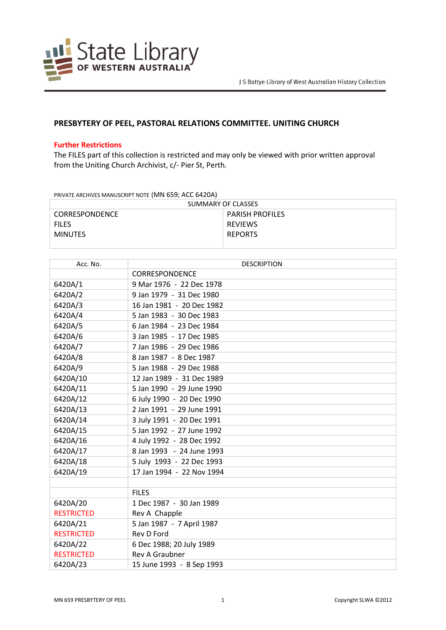

## **PRESBYTERY OF PEEL, PASTORAL RELATIONS COMMITTEE. UNITING CHURCH**

## **Further Restrictions**

The FILES part of this collection is restricted and may only be viewed with prior written approval from the Uniting Church Archivist, c/- Pier St, Perth*.*

PRIVATE ARCHIVES MANUSCRIPT NOTE (MN 659; ACC 6420A)

| SUMMARY OF CLASSES    |                        |  |
|-----------------------|------------------------|--|
| <b>CORRESPONDENCE</b> | <b>PARISH PROFILES</b> |  |
| <b>FILES</b>          | REVIEWS                |  |
| <b>MINUTES</b>        | <b>REPORTS</b>         |  |
|                       |                        |  |

| Acc. No.          | <b>DESCRIPTION</b>        |
|-------------------|---------------------------|
|                   | <b>CORRESPONDENCE</b>     |
| 6420A/1           | 9 Mar 1976 - 22 Dec 1978  |
| 6420A/2           | 9 Jan 1979 - 31 Dec 1980  |
| 6420A/3           | 16 Jan 1981 - 20 Dec 1982 |
| 6420A/4           | 5 Jan 1983 - 30 Dec 1983  |
| 6420A/5           | 6 Jan 1984 - 23 Dec 1984  |
| 6420A/6           | 3 Jan 1985 - 17 Dec 1985  |
| 6420A/7           | 7 Jan 1986 - 29 Dec 1986  |
| 6420A/8           | 8 Jan 1987 - 8 Dec 1987   |
| 6420A/9           | 5 Jan 1988 - 29 Dec 1988  |
| 6420A/10          | 12 Jan 1989 - 31 Dec 1989 |
| 6420A/11          | 5 Jan 1990 - 29 June 1990 |
| 6420A/12          | 6 July 1990 - 20 Dec 1990 |
| 6420A/13          | 2 Jan 1991 - 29 June 1991 |
| 6420A/14          | 3 July 1991 - 20 Dec 1991 |
| 6420A/15          | 5 Jan 1992 - 27 June 1992 |
| 6420A/16          | 4 July 1992 - 28 Dec 1992 |
| 6420A/17          | 8 Jan 1993 - 24 June 1993 |
| 6420A/18          | 5 July 1993 - 22 Dec 1993 |
| 6420A/19          | 17 Jan 1994 - 22 Nov 1994 |
|                   |                           |
|                   | <b>FILES</b>              |
| 6420A/20          | 1 Dec 1987 - 30 Jan 1989  |
| <b>RESTRICTED</b> | Rev A Chapple             |
| 6420A/21          | 5 Jan 1987 - 7 April 1987 |
| <b>RESTRICTED</b> | Rev D Ford                |
| 6420A/22          | 6 Dec 1988; 20 July 1989  |
| <b>RESTRICTED</b> | <b>Rev A Graubner</b>     |
| 6420A/23          | 15 June 1993 - 8 Sep 1993 |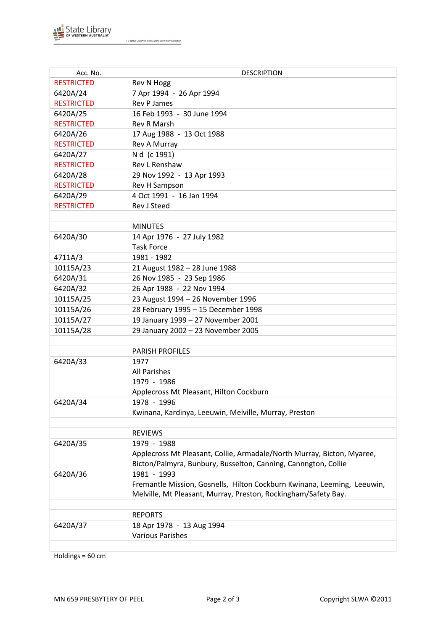

J S Battye Library of West Australian History Collection

| Acc. No.          | <b>DESCRIPTION</b>                                                      |
|-------------------|-------------------------------------------------------------------------|
| <b>RESTRICTED</b> | Rev N Hogg                                                              |
| 6420A/24          | 7 Apr 1994 - 26 Apr 1994                                                |
| <b>RESTRICTED</b> | <b>Rev P James</b>                                                      |
| 6420A/25          | 16 Feb 1993 - 30 June 1994                                              |
| <b>RESTRICTED</b> | <b>Rev R Marsh</b>                                                      |
| 6420A/26          | 17 Aug 1988 - 13 Oct 1988                                               |
| <b>RESTRICTED</b> | Rev A Murray                                                            |
| 6420A/27          | N d (c 1991)                                                            |
| <b>RESTRICTED</b> | Rev L Renshaw                                                           |
| 6420A/28          | 29 Nov 1992 - 13 Apr 1993                                               |
| <b>RESTRICTED</b> | Rev H Sampson                                                           |
| 6420A/29          | 4 Oct 1991 - 16 Jan 1994                                                |
| <b>RESTRICTED</b> | Rev J Steed                                                             |
|                   |                                                                         |
|                   | <b>MINUTES</b>                                                          |
| 6420A/30          | 14 Apr 1976 - 27 July 1982                                              |
|                   | <b>Task Force</b>                                                       |
| 4711A/3           | 1981 - 1982                                                             |
| 10115A/23         | 21 August 1982 - 28 June 1988                                           |
| 6420A/31          | 26 Nov 1985 - 23 Sep 1986                                               |
| 6420A/32          | 26 Apr 1988 - 22 Nov 1994                                               |
| 10115A/25         | 23 August 1994 - 26 November 1996                                       |
| 10115A/26         | 28 February 1995 - 15 December 1998                                     |
| 10115A/27         | 19 January 1999 - 27 November 2001                                      |
| 10115A/28         | 29 January 2002 - 23 November 2005                                      |
|                   |                                                                         |
|                   | <b>PARISH PROFILES</b>                                                  |
| 6420A/33          | 1977                                                                    |
|                   | <b>All Parishes</b>                                                     |
|                   | 1979 - 1986                                                             |
|                   | Applecross Mt Pleasant, Hilton Cockburn                                 |
| 6420A/34          | 1978 - 1996                                                             |
|                   | Kwinana, Kardinya, Leeuwin, Melville, Murray, Preston                   |
|                   |                                                                         |
|                   | <b>REVIEWS</b>                                                          |
| 6420A/35          | 1979 - 1988                                                             |
|                   | Applecross Mt Pleasant, Collie, Armadale/North Murray, Bicton, Myaree,  |
|                   | Bicton/Palmyra, Bunbury, Busselton, Canning, Cannngton, Collie          |
| 6420A/36          | 1981 - 1993                                                             |
|                   | Fremantle Mission, Gosnells, Hilton Cockburn Kwinana, Leeming, Leeuwin, |
|                   | Melville, Mt Pleasant, Murray, Preston, Rockingham/Safety Bay.          |
|                   |                                                                         |
|                   | <b>REPORTS</b>                                                          |
| 6420A/37          | 18 Apr 1978 - 13 Aug 1994                                               |
|                   | <b>Various Parishes</b>                                                 |
|                   |                                                                         |

Holdings = 60 cm